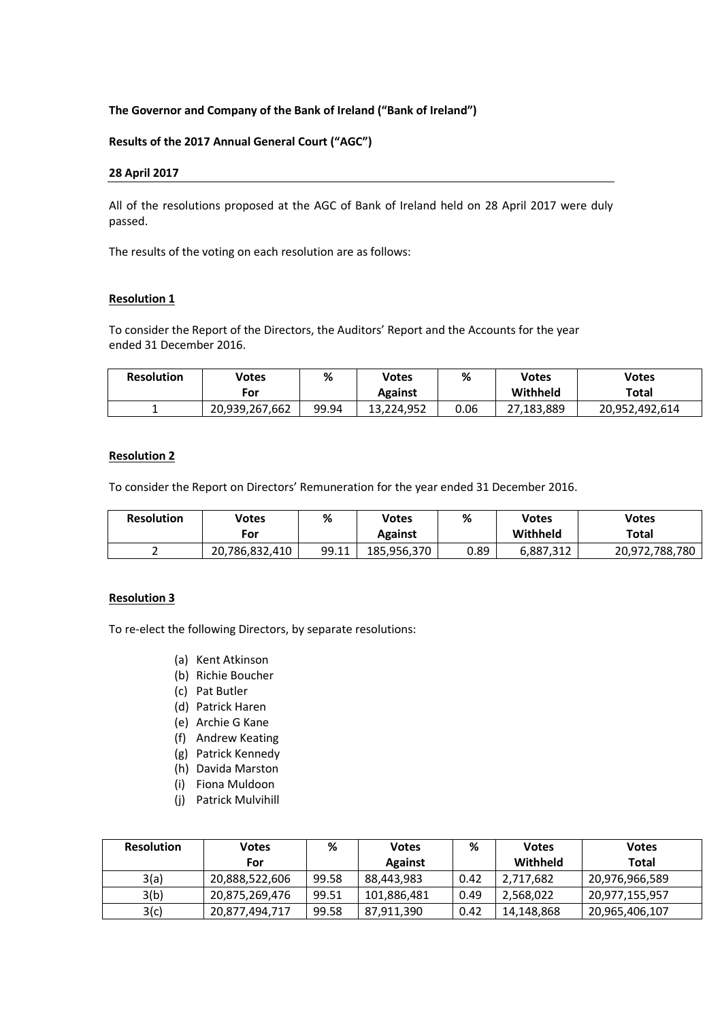# **The Governor and Company of the Bank of Ireland ("Bank of Ireland")**

#### **Results of the 2017 Annual General Court ("AGC")**

#### **28 April 2017**

All of the resolutions proposed at the AGC of Bank of Ireland held on 28 April 2017 were duly passed.

The results of the voting on each resolution are as follows:

#### **Resolution 1**

To consider the Report of the Directors, the Auditors' Report and the Accounts for the year ended 31 December 2016.

| <b>Resolution</b> | Votes          | %     | Votes          | %    | Votes      | Votes          |
|-------------------|----------------|-------|----------------|------|------------|----------------|
|                   | For            |       | <b>Against</b> |      | Withheld   | Total          |
|                   | 20,939,267,662 | 99.94 | 13,224,952     | 0.06 | 27,183,889 | 20,952,492,614 |

# **Resolution 2**

To consider the Report on Directors' Remuneration for the year ended 31 December 2016.

| <b>Resolution</b> | Votes          | %     | Votes       | ℅    | Votes     | Votes          |
|-------------------|----------------|-------|-------------|------|-----------|----------------|
|                   | For            |       | Against     |      | Withheld  | Total          |
|                   | 20,786,832,410 | 99.11 | 185,956,370 | 0.89 | 6,887,312 | 20,972,788,780 |

#### **Resolution 3**

To re-elect the following Directors, by separate resolutions:

- (a) Kent Atkinson
- (b) Richie Boucher
- (c) Pat Butler
- (d) Patrick Haren
- (e) Archie G Kane
- (f) Andrew Keating
- (g) Patrick Kennedy
- (h) Davida Marston
- (i) Fiona Muldoon
- (j) Patrick Mulvihill

| <b>Resolution</b> | Votes          | %     | <b>Votes</b>   | %    | <b>Votes</b> | <b>Votes</b>   |
|-------------------|----------------|-------|----------------|------|--------------|----------------|
|                   | For            |       | <b>Against</b> |      | Withheld     | Total          |
| 3(a)              | 20,888,522,606 | 99.58 | 88,443,983     | 0.42 | 2,717,682    | 20,976,966,589 |
| 3(b)              | 20,875,269,476 | 99.51 | 101,886,481    | 0.49 | 2,568,022    | 20,977,155,957 |
| 3(c)              | 20,877,494,717 | 99.58 | 87,911,390     | 0.42 | 14,148,868   | 20,965,406,107 |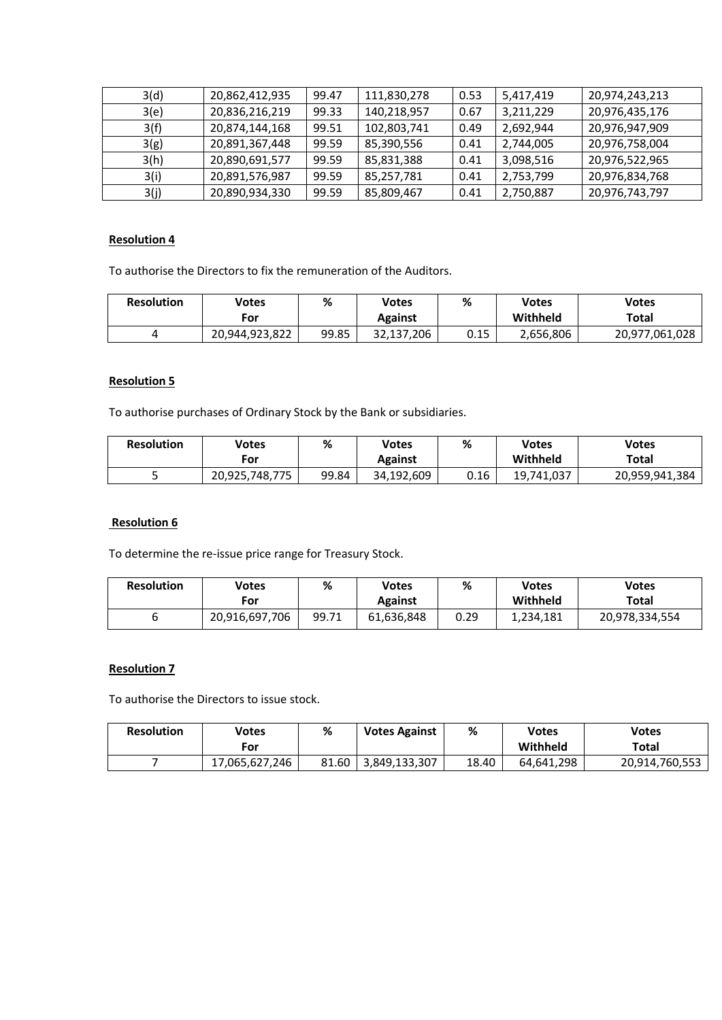| 3(d) | 20,862,412,935 | 99.47 | 111,830,278 | 0.53 | 5,417,419 | 20,974,243,213 |
|------|----------------|-------|-------------|------|-----------|----------------|
| 3(e) | 20,836,216,219 | 99.33 | 140,218,957 | 0.67 | 3,211,229 | 20,976,435,176 |
| 3(f) | 20,874,144,168 | 99.51 | 102,803,741 | 0.49 | 2,692,944 | 20,976,947,909 |
| 3(g) | 20,891,367,448 | 99.59 | 85,390,556  | 0.41 | 2,744,005 | 20,976,758,004 |
| 3(h) | 20,890,691,577 | 99.59 | 85,831,388  | 0.41 | 3,098,516 | 20,976,522,965 |
| 3(i) | 20,891,576,987 | 99.59 | 85,257,781  | 0.41 | 2,753,799 | 20,976,834,768 |
| 3(j) | 20,890,934,330 | 99.59 | 85,809,467  | 0.41 | 2,750,887 | 20,976,743,797 |

# **Resolution 4**

To authorise the Directors to fix the remuneration of the Auditors.

| <b>Resolution</b> | Votes          | %     | Votes      | %    | Votes     | <b>Votes</b>   |
|-------------------|----------------|-------|------------|------|-----------|----------------|
|                   | For            |       | Against    |      | Withheld  | Total          |
|                   | 20,944,923,822 | 99.85 | 32,137,206 | 0.15 | 2,656,806 | 20,977,061,028 |

# **Resolution 5**

To authorise purchases of Ordinary Stock by the Bank or subsidiaries.

| <b>Resolution</b> | Votes          | %     | Votes      | %    | Votes      | Votes          |
|-------------------|----------------|-------|------------|------|------------|----------------|
|                   | For            |       | Against    |      | Withheld   | Total          |
|                   | 20,925,748,775 | 99.84 | 34.192.609 | 0.16 | 19.741.037 | 20,959,941,384 |

### **Resolution 6**

To determine the re-issue price range for Treasury Stock.

| <b>Resolution</b> | Votes          | %     | Votes          | %    | Votes     | <b>Votes</b>   |
|-------------------|----------------|-------|----------------|------|-----------|----------------|
|                   | For            |       | <b>Against</b> |      | Withheld  | Total          |
|                   | 20,916,697,706 | 99.71 | 61,636,848     | 0.29 | 1,234,181 | 20,978,334,554 |

# **Resolution 7**

To authorise the Directors to issue stock.

| <b>Resolution</b> | Votes          | %     | <b>Votes Against</b> | %     | <b>Votes</b> | Votes          |
|-------------------|----------------|-------|----------------------|-------|--------------|----------------|
|                   | For            |       |                      |       | Withheld     | Total          |
|                   | 17,065,627,246 | 81.60 | 3,849,133,307        | 18.40 | 64.641.298   | 20,914,760,553 |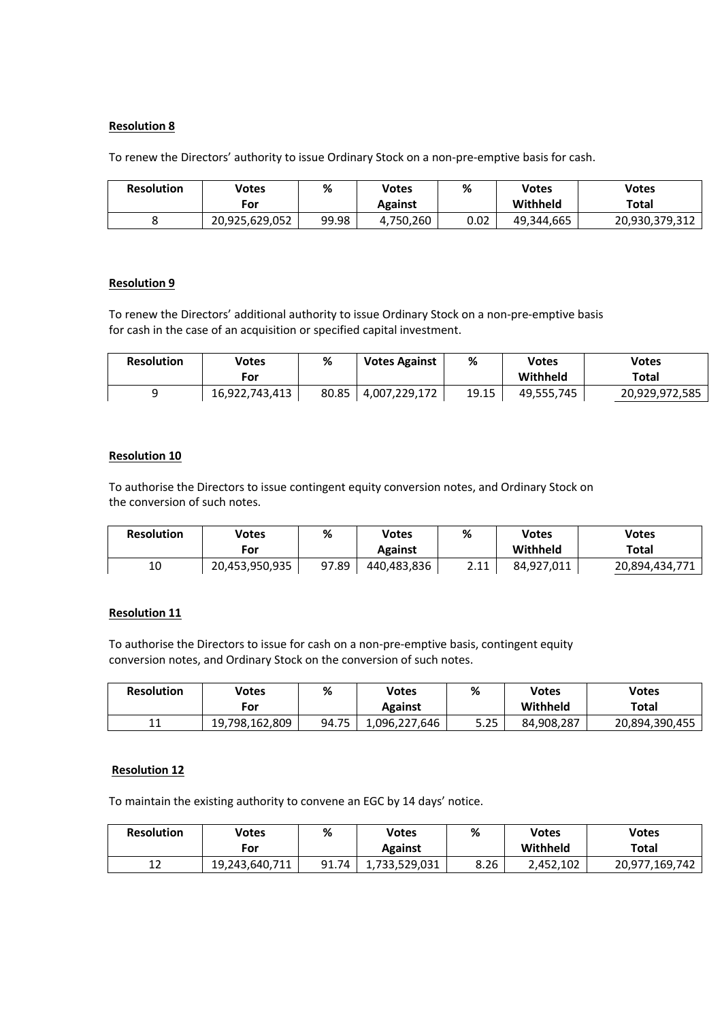# **Resolution 8**

To renew the Directors' authority to issue Ordinary Stock on a non-pre-emptive basis for cash.

| <b>Resolution</b> | <b>Votes</b>   | ℅     | Votes          | %    | Votes      | <b>Votes</b>   |
|-------------------|----------------|-------|----------------|------|------------|----------------|
|                   | For            |       | <b>Against</b> |      | Withheld   | Total          |
|                   | 20.925.629.052 | 99.98 | 4.750.260      | 0.02 | 49.344.665 | 20,930,379,312 |

#### **Resolution 9**

To renew the Directors' additional authority to issue Ordinary Stock on a non-pre-emptive basis for cash in the case of an acquisition or specified capital investment.

| <b>Resolution</b> | Votes<br>.-or  | %     | <b>Votes Against</b> | %     | Votes<br>Withheld | Votes<br>Total |
|-------------------|----------------|-------|----------------------|-------|-------------------|----------------|
|                   | 16,922,743,413 | 80.85 | 4,007,229,172        | 19.15 | 49,555,745        | 20,929,972,585 |

## **Resolution 10**

To authorise the Directors to issue contingent equity conversion notes, and Ordinary Stock on the conversion of such notes.

| <b>Resolution</b> | Votes<br>For   | %     | Votes<br>Against | %                           | <b>Votes</b><br>Withheld | <b>Votes</b><br>Total |
|-------------------|----------------|-------|------------------|-----------------------------|--------------------------|-----------------------|
| 10                | 20,453,950,935 | 97.89 | 440,483,836      | <b>COM</b><br><u> </u> . 11 | 84,927,011               | 20,894,434,771        |

#### **Resolution 11**

To authorise the Directors to issue for cash on a non-pre-emptive basis, contingent equity conversion notes, and Ordinary Stock on the conversion of such notes.

| <b>Resolution</b> | Votes          | %     | Votes          | %    | Votes      | Votes          |
|-------------------|----------------|-------|----------------|------|------------|----------------|
|                   | For            |       | <b>Against</b> |      | Withheld   | Total          |
| 11<br>ᆂᆂ          | 19.798.162.809 | 94.75 | 1,096,227,646  | 5.25 | 84.908.287 | 20,894,390,455 |

### **Resolution 12**

To maintain the existing authority to convene an EGC by 14 days' notice.

| <b>Resolution</b> | Votes<br>For   | %     | Votes<br><b>Against</b> | %    | Votes<br>Withheld | Votes<br>Total |
|-------------------|----------------|-------|-------------------------|------|-------------------|----------------|
| 1ว<br>┸᠘          | 19,243,640,711 | 91.74 | 1,733,529,031           | 8.26 | 2,452,102         | 20,977,169,742 |